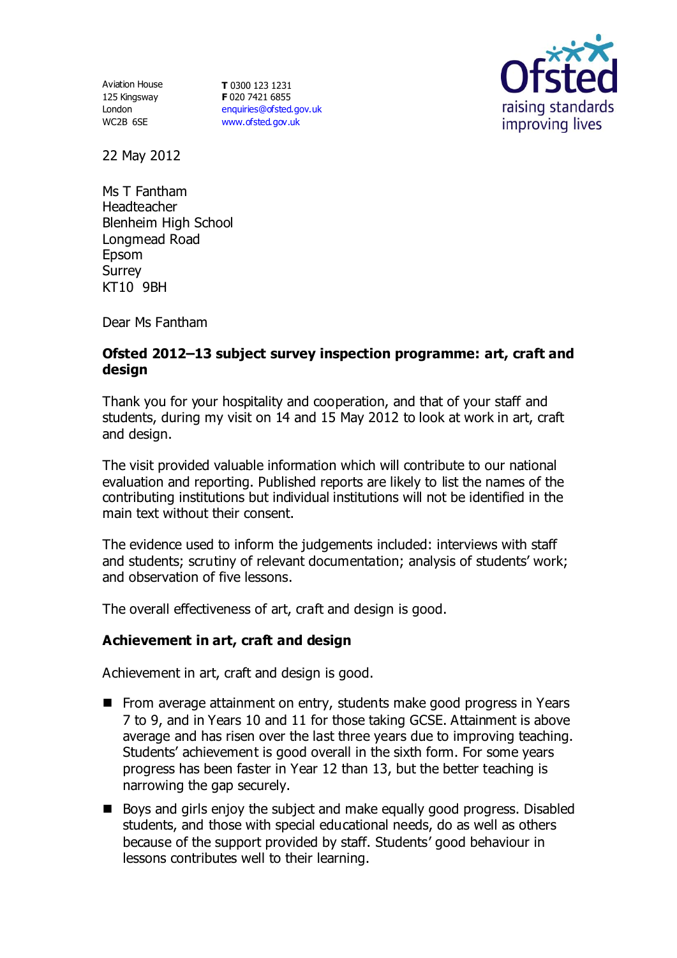125 Kingsway London WC2B 6SE

Aviation House **T** 0300 123 1231 **F** 020 7421 6855 [enquiries@ofsted.gov.uk](mailto:enquiries@ofsted.gov.uk) [www.ofsted.gov.uk](http://www.ofsted.gov.uk/)



22 May 2012

Ms T Fantham Headteacher Blenheim High School Longmead Road Epsom Surrey KT10 9BH

Dear Ms Fantham

### **Ofsted 2012–13 subject survey inspection programme: art, craft and design**

Thank you for your hospitality and cooperation, and that of your staff and students, during my visit on 14 and 15 May 2012 to look at work in art, craft and design.

The visit provided valuable information which will contribute to our national evaluation and reporting. Published reports are likely to list the names of the contributing institutions but individual institutions will not be identified in the main text without their consent.

The evidence used to inform the judgements included: interviews with staff and students; scrutiny of relevant documentation; analysis of students' work; and observation of five lessons.

The overall effectiveness of art, craft and design is good.

### **Achievement in art, craft and design**

Achievement in art, craft and design is good.

- From average attainment on entry, students make good progress in Years 7 to 9, and in Years 10 and 11 for those taking GCSE. Attainment is above average and has risen over the last three years due to improving teaching. Students' achievement is good overall in the sixth form. For some years progress has been faster in Year 12 than 13, but the better teaching is narrowing the gap securely.
- Boys and girls enjoy the subject and make equally good progress. Disabled students, and those with special educational needs, do as well as others because of the support provided by staff. Students' good behaviour in lessons contributes well to their learning.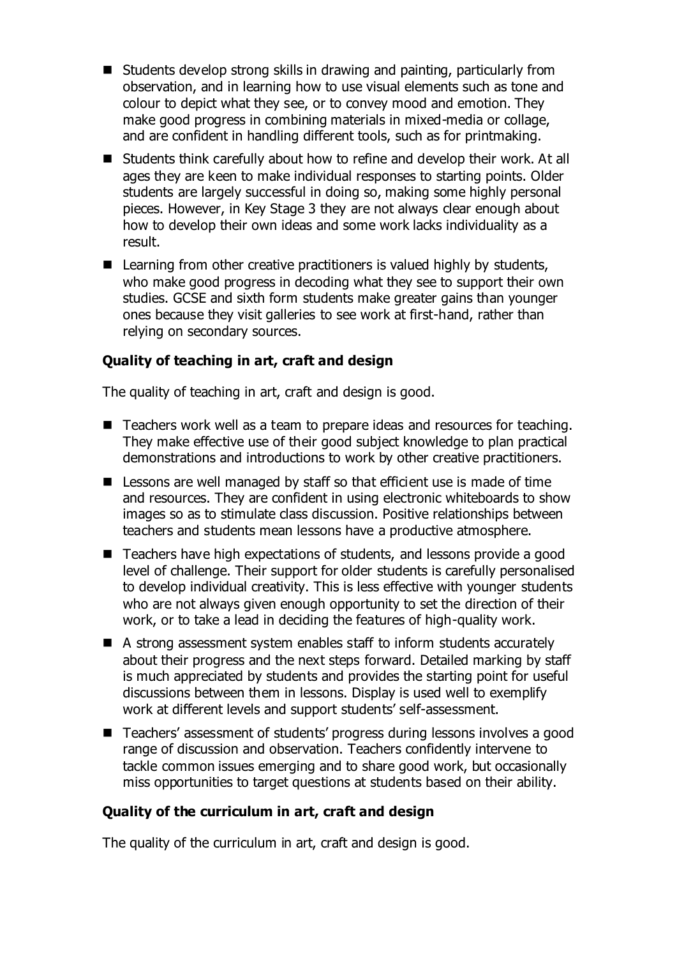- $\blacksquare$  Students develop strong skills in drawing and painting, particularly from observation, and in learning how to use visual elements such as tone and colour to depict what they see, or to convey mood and emotion. They make good progress in combining materials in mixed-media or collage, and are confident in handling different tools, such as for printmaking.
- Students think carefully about how to refine and develop their work. At all ages they are keen to make individual responses to starting points. Older students are largely successful in doing so, making some highly personal pieces. However, in Key Stage 3 they are not always clear enough about how to develop their own ideas and some work lacks individuality as a result.
- $\blacksquare$  Learning from other creative practitioners is valued highly by students, who make good progress in decoding what they see to support their own studies. GCSE and sixth form students make greater gains than younger ones because they visit galleries to see work at first-hand, rather than relying on secondary sources.

## **Quality of teaching in art, craft and design**

The quality of teaching in art, craft and design is good.

- Teachers work well as a team to prepare ideas and resources for teaching. They make effective use of their good subject knowledge to plan practical demonstrations and introductions to work by other creative practitioners.
- Lessons are well managed by staff so that efficient use is made of time and resources. They are confident in using electronic whiteboards to show images so as to stimulate class discussion. Positive relationships between teachers and students mean lessons have a productive atmosphere.
- Teachers have high expectations of students, and lessons provide a good level of challenge. Their support for older students is carefully personalised to develop individual creativity. This is less effective with younger students who are not always given enough opportunity to set the direction of their work, or to take a lead in deciding the features of high-quality work.
- A strong assessment system enables staff to inform students accurately about their progress and the next steps forward. Detailed marking by staff is much appreciated by students and provides the starting point for useful discussions between them in lessons. Display is used well to exemplify work at different levels and support students' self-assessment.
- Teachers' assessment of students' progress during lessons involves a good range of discussion and observation. Teachers confidently intervene to tackle common issues emerging and to share good work, but occasionally miss opportunities to target questions at students based on their ability.

### **Quality of the curriculum in art, craft and design**

The quality of the curriculum in art, craft and design is good.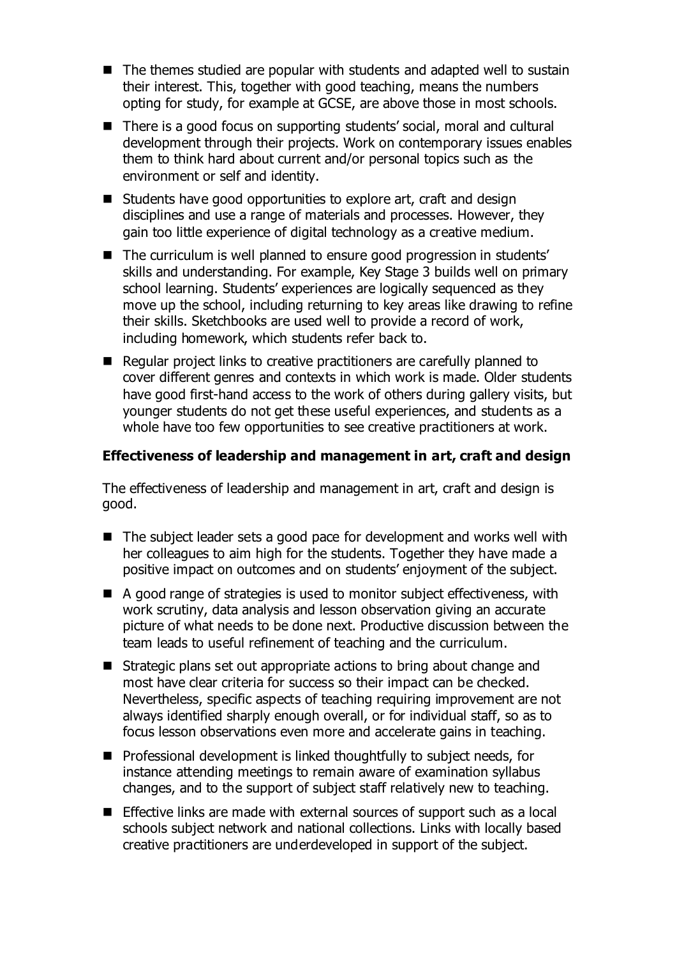- The themes studied are popular with students and adapted well to sustain their interest. This, together with good teaching, means the numbers opting for study, for example at GCSE, are above those in most schools.
- There is a good focus on supporting students' social, moral and cultural development through their projects. Work on contemporary issues enables them to think hard about current and/or personal topics such as the environment or self and identity.
- Students have good opportunities to explore art, craft and design disciplines and use a range of materials and processes. However, they gain too little experience of digital technology as a creative medium.
- The curriculum is well planned to ensure good progression in students' skills and understanding. For example, Key Stage 3 builds well on primary school learning. Students' experiences are logically sequenced as they move up the school, including returning to key areas like drawing to refine their skills. Sketchbooks are used well to provide a record of work, including homework, which students refer back to.
- Regular project links to creative practitioners are carefully planned to cover different genres and contexts in which work is made. Older students have good first-hand access to the work of others during gallery visits, but younger students do not get these useful experiences, and students as a whole have too few opportunities to see creative practitioners at work.

### **Effectiveness of leadership and management in art, craft and design**

The effectiveness of leadership and management in art, craft and design is good.

- The subject leader sets a good pace for development and works well with her colleagues to aim high for the students. Together they have made a positive impact on outcomes and on students' enjoyment of the subject.
- A good range of strategies is used to monitor subject effectiveness, with work scrutiny, data analysis and lesson observation giving an accurate picture of what needs to be done next. Productive discussion between the team leads to useful refinement of teaching and the curriculum.
- Strategic plans set out appropriate actions to bring about change and most have clear criteria for success so their impact can be checked. Nevertheless, specific aspects of teaching requiring improvement are not always identified sharply enough overall, or for individual staff, so as to focus lesson observations even more and accelerate gains in teaching.
- $\blacksquare$  Professional development is linked thoughtfully to subject needs, for instance attending meetings to remain aware of examination syllabus changes, and to the support of subject staff relatively new to teaching.
- Effective links are made with external sources of support such as a local schools subject network and national collections. Links with locally based creative practitioners are underdeveloped in support of the subject.